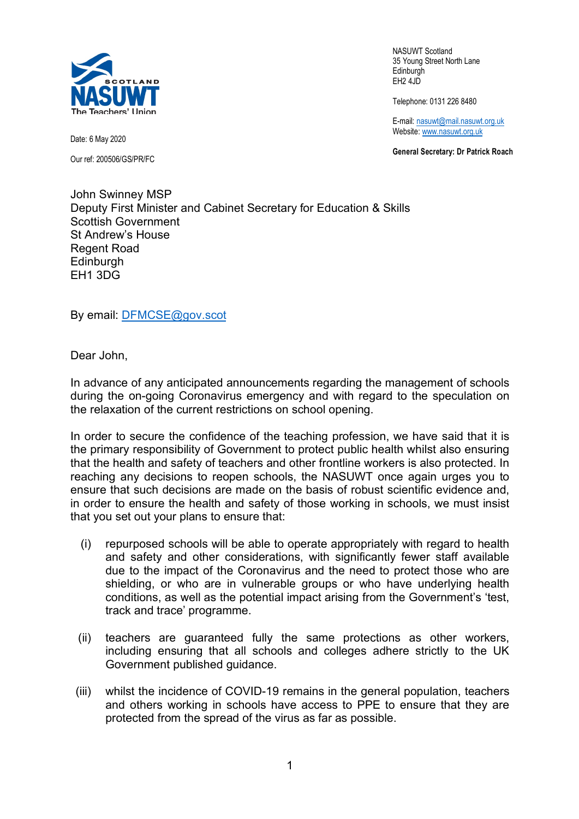

NASUWT Scotland 35 Young Street North Lane **Edinburgh** EH2 4JD

Telephone: 0131 226 8480

E-mail: nasuwt@mail.nasuwt.org.uk Website: www.nasuwt.org.uk

**General Secretary: Dr Patrick Roach**

Date: 6 May 2020 Our ref: 200506/GS/PR/FC

John Swinney MSP Deputy First Minister and Cabinet Secretary for Education & Skills Scottish Government St Andrew's House Regent Road **Edinburgh** EH1 3DG

By email: DFMCSE@gov.scot

Dear John,

In advance of any anticipated announcements regarding the management of schools during the on-going Coronavirus emergency and with regard to the speculation on the relaxation of the current restrictions on school opening.

In order to secure the confidence of the teaching profession, we have said that it is the primary responsibility of Government to protect public health whilst also ensuring that the health and safety of teachers and other frontline workers is also protected. In reaching any decisions to reopen schools, the NASUWT once again urges you to ensure that such decisions are made on the basis of robust scientific evidence and, in order to ensure the health and safety of those working in schools, we must insist that you set out your plans to ensure that:

- (i) repurposed schools will be able to operate appropriately with regard to health and safety and other considerations, with significantly fewer staff available due to the impact of the Coronavirus and the need to protect those who are shielding, or who are in vulnerable groups or who have underlying health conditions, as well as the potential impact arising from the Government's 'test, track and trace' programme.
- (ii) teachers are guaranteed fully the same protections as other workers, including ensuring that all schools and colleges adhere strictly to the UK Government published guidance.
- (iii) whilst the incidence of COVID-19 remains in the general population, teachers and others working in schools have access to PPE to ensure that they are protected from the spread of the virus as far as possible.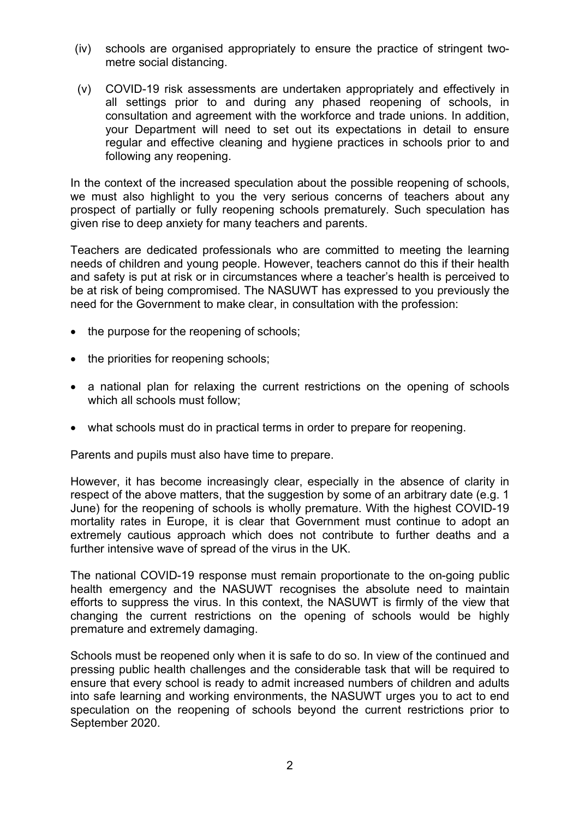- (iv) schools are organised appropriately to ensure the practice of stringent twometre social distancing.
- (v) COVID-19 risk assessments are undertaken appropriately and effectively in all settings prior to and during any phased reopening of schools, in consultation and agreement with the workforce and trade unions. In addition, your Department will need to set out its expectations in detail to ensure regular and effective cleaning and hygiene practices in schools prior to and following any reopening.

In the context of the increased speculation about the possible reopening of schools, we must also highlight to you the very serious concerns of teachers about any prospect of partially or fully reopening schools prematurely. Such speculation has given rise to deep anxiety for many teachers and parents.

Teachers are dedicated professionals who are committed to meeting the learning needs of children and young people. However, teachers cannot do this if their health and safety is put at risk or in circumstances where a teacher's health is perceived to be at risk of being compromised. The NASUWT has expressed to you previously the need for the Government to make clear, in consultation with the profession:

- the purpose for the reopening of schools;
- the priorities for reopening schools;
- a national plan for relaxing the current restrictions on the opening of schools which all schools must follow;
- what schools must do in practical terms in order to prepare for reopening.

Parents and pupils must also have time to prepare.

However, it has become increasingly clear, especially in the absence of clarity in respect of the above matters, that the suggestion by some of an arbitrary date (e.g. 1 June) for the reopening of schools is wholly premature. With the highest COVID-19 mortality rates in Europe, it is clear that Government must continue to adopt an extremely cautious approach which does not contribute to further deaths and a further intensive wave of spread of the virus in the UK.

The national COVID-19 response must remain proportionate to the on-going public health emergency and the NASUWT recognises the absolute need to maintain efforts to suppress the virus. In this context, the NASUWT is firmly of the view that changing the current restrictions on the opening of schools would be highly premature and extremely damaging.

Schools must be reopened only when it is safe to do so. In view of the continued and pressing public health challenges and the considerable task that will be required to ensure that every school is ready to admit increased numbers of children and adults into safe learning and working environments, the NASUWT urges you to act to end speculation on the reopening of schools beyond the current restrictions prior to September 2020.